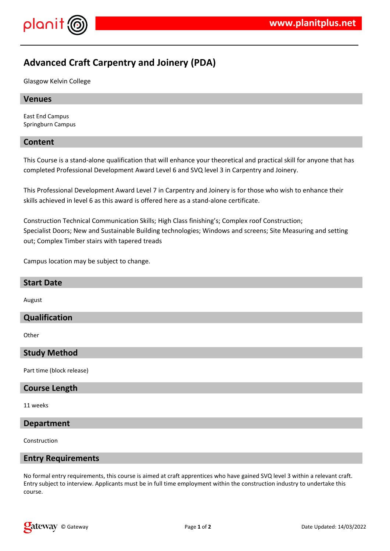

# **Advanced Craft Carpentry and Joinery (PDA)**

Glasgow Kelvin College

# **Venues**

East End Campus Springburn Campus

# **Content**

This Course is a stand-alone qualification that will enhance your theoretical and practical skill for anyone that has completed Professional Development Award Level 6 and SVQ level 3 in Carpentry and Joinery.

This Professional Development Award Level 7 in Carpentry and Joinery is for those who wish to enhance their skills achieved in level 6 as this award is offered here as a stand-alone certificate.

Construction Technical Communication Skills; High Class finishing's; Complex roof Construction; Specialist Doors; New and Sustainable Building technologies; Windows and screens; Site Measuring and setting out; Complex Timber stairs with tapered treads

Campus location may be subject to change.

| <b>Start Date</b> |  |
|-------------------|--|
| August            |  |
|                   |  |

# **Qualification**

**Other** 

# **Study Method**

Part time (block release)

# **Course Length**

11 weeks

#### **Department**

Construction

#### **Entry Requirements**

No formal entry requirements, this course is aimed at craft apprentices who have gained SVQ level 3 within a relevant craft. Entry subject to interview. Applicants must be in full time employment within the construction industry to undertake this course.